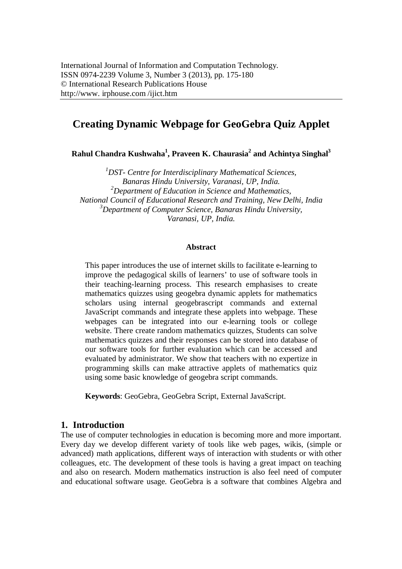# **Creating Dynamic Webpage for GeoGebra Quiz Applet**

**Rahul Chandra Kushwaha<sup>1</sup> , Praveen K. Chaurasia<sup>2</sup> and Achintya Singhal<sup>3</sup>**

*<sup>1</sup>DST- Centre for Interdisciplinary Mathematical Sciences, Banaras Hindu University, Varanasi, UP, India. <sup>2</sup>Department of Education in Science and Mathematics, National Council of Educational Research and Training, New Delhi, India <sup>3</sup>Department of Computer Science, Banaras Hindu University, Varanasi, UP, India.*

#### **Abstract**

This paper introduces the use of internet skills to facilitate e-learning to improve the pedagogical skills of learners' to use of software tools in their teaching-learning process. This research emphasises to create mathematics quizzes using geogebra dynamic applets for mathematics scholars using internal geogebrascript commands and external JavaScript commands and integrate these applets into webpage. These webpages can be integrated into our e-learning tools or college website. There create random mathematics quizzes, Students can solve mathematics quizzes and their responses can be stored into database of our software tools for further evaluation which can be accessed and evaluated by administrator. We show that teachers with no expertize in programming skills can make attractive applets of mathematics quiz using some basic knowledge of geogebra script commands.

**Keywords**: GeoGebra, GeoGebra Script, External JavaScript.

#### **1. Introduction**

The use of computer technologies in education is becoming more and more important. Every day we develop different variety of tools like web pages, wikis, (simple or advanced) math applications, different ways of interaction with students or with other colleagues, etc. The development of these tools is having a great impact on teaching and also on research. Modern mathematics instruction is also feel need of computer and educational software usage. GeoGebra is a software that combines Algebra and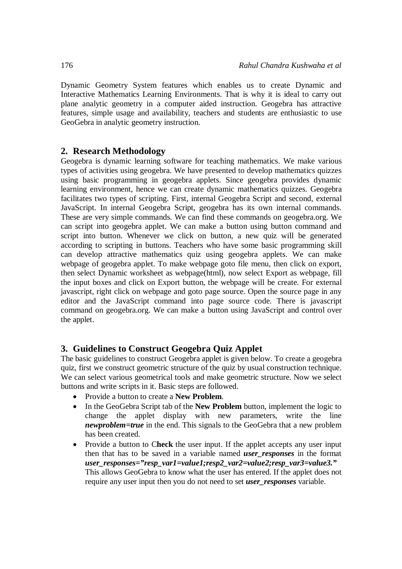Dynamic Geometry System features which enables us to create Dynamic and Interactive Mathematics Learning Environments. That is why it is ideal to carry out plane analytic geometry in a computer aided instruction. Geogebra has attractive features, simple usage and availability, teachers and students are enthusiastic to use GeoGebra in analytic geometry instruction.

## **2. Research Methodology**

Geogebra is dynamic learning software for teaching mathematics. We make various types of activities using geogebra. We have presented to develop mathematics quizzes using basic programming in geogebra applets. Since geogebra provides dynamic learning environment, hence we can create dynamic mathematics quizzes. Geogebra facilitates two types of scripting. First, internal Geogebra Script and second, external JavaScript. In internal Geogebra Script, geogebra has its own internal commands. These are very simple commands. We can find these commands on geogebra.org. We can script into geogebra applet. We can make a button using button command and script into button. Whenever we click on button, a new quiz will be generated according to scripting in buttons. Teachers who have some basic programming skill can develop attractive mathematics quiz using geogebra applets. We can make webpage of geogebra applet. To make webpage goto file menu, then click on export, then select Dynamic worksheet as webpage(html), now select Export as webpage, fill the input boxes and click on Export button, the webpage will be create. For external javascript, right click on webpage and goto page source. Open the source page in any editor and the JavaScript command into page source code. There is javascript command on geogebra.org. We can make a button using JavaScript and control over the applet.

## **3. Guidelines to Construct Geogebra Quiz Applet**

The basic guidelines to construct Geogebra applet is given below. To create a geogebra quiz, first we construct geometric structure of the quiz by usual construction technique. We can select various geometrical tools and make geometric structure. Now we select buttons and write scripts in it. Basic steps are followed.

- Provide a button to create a **New Problem**.
- In the GeoGebra Script tab of the **New Problem** button, implement the logic to change the applet display with new parameters, write the line *newproblem=true* in the end. This signals to the GeoGebra that a new problem has been created.
- Provide a button to C**heck** the user input. If the applet accepts any user input then that has to be saved in a variable named *user\_responses* in the format *user\_responses="resp\_var1=value1;resp2\_var2=value2;resp\_var3=value3."*  This allows GeoGebra to know what the user has entered. If the applet does not require any user input then you do not need to set *user\_responses* variable.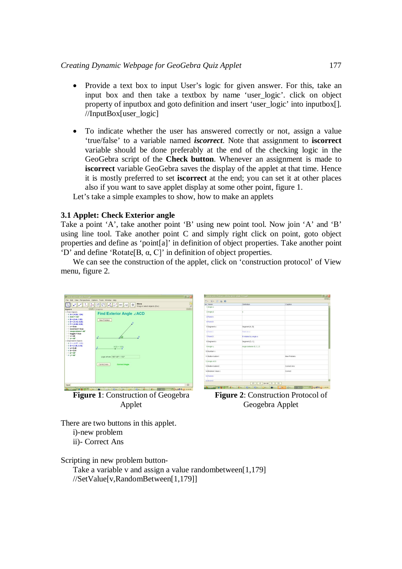- Provide a text box to input User's logic for given answer. For this, take an input box and then take a textbox by name 'user\_logic'. click on object property of inputbox and goto definition and insert 'user logic' into inputbox.[]. //InputBox[user\_logic]
- To indicate whether the user has answered correctly or not, assign a value 'true/false' to a variable named *iscorrect*. Note that assignment to **iscorrect** variable should be done preferably at the end of the checking logic in the GeoGebra script of the **Check button**. Whenever an assignment is made to **iscorrect** variable GeoGebra saves the display of the applet at that time. Hence it is mostly preferred to set **iscorrect** at the end; you can set it at other places also if you want to save applet display at some other point, figure 1.

Let's take a simple examples to show, how to make an applets

#### **3.1 Applet: Check Exterior angle**

Take a point 'A', take another point 'B' using new point tool. Now join 'A' and 'B' using line tool. Take another point C and simply right click on point, goto object properties and define as 'point[a]' in definition of object properties. Take another point 'D' and define 'Rotate[B, α, C]' in definition of object properties.

We can see the construction of the applet, click on 'construction protocol' of View menu, figure 2.



**Figure 1**: Construction of Geogebra Applet



**Figure 2**: Construction Protocol of Geogebra Applet

There are two buttons in this applet. i)-new problem

ii)- Correct Ans

Scripting in new problem button-

Take a variable v and assign a value randombetween[1,179] //SetValue[v,RandomBetween[1,179]]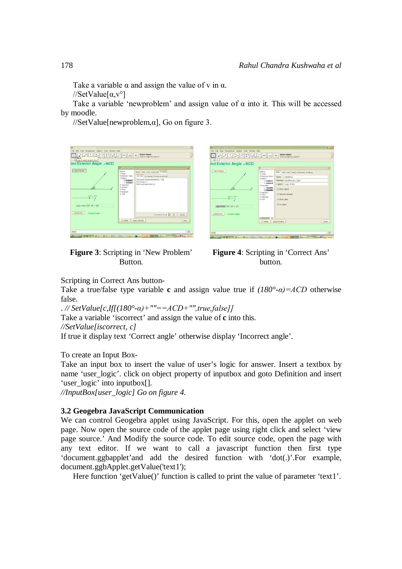Take a variable  $\alpha$  and assign the value of v in  $\alpha$ .

//SetValue $\lceil \alpha, v^{\circ} \rceil$ 

Take a variable 'newproblem' and assign value of  $\alpha$  into it. This will be accessed by moodle.

 $//SetValue[newproblem, \alpha]$ , Go on figure 3.

| C Chock Internet Angle Final ga<br>File Edit View Perspectives Options Tools Window Help<br>$\perp$ $\perp$ 0004 $\leq$ 40 $\perp$ 4<br>Move<br>      Drag or select objects (Esc)<br>ind Exterior Angle ∠ACD | C Phins Preperties                                                                                                                                   | 图画图<br><b>Select Object</b><br>Click on object to select it<br>図             |
|---------------------------------------------------------------------------------------------------------------------------------------------------------------------------------------------------------------|------------------------------------------------------------------------------------------------------------------------------------------------------|------------------------------------------------------------------------------|
| New Protiem<br>n<br>B<br>$ACD = 132"$<br>Logic of ans: 180"- 48" = 132"<br>Correct Ans<br><b>Correct Angle</b>                                                                                                | <b>Cityects</b><br>* Angle<br>* Boolean Value<br>+ facton<br>button1<br>$-9$ button2<br>iii- Input Box<br>* Number<br># Point<br>i Segment<br># Text | Basic Ted Color Advanced Scripting                                           |
|                                                                                                                                                                                                               |                                                                                                                                                      | On Click   On Update   Global JavaScript                                     |
|                                                                                                                                                                                                               |                                                                                                                                                      | SetValue(v RandomBetween(1,179))<br>SetValue[c.v"]<br>SetValue(nevproblem,a) |
|                                                                                                                                                                                                               | GeoGebra Script<br>OK<br>Cancel<br>$Q$ . Delete<br>Apply Defaults<br>Close                                                                           |                                                                              |
| Input<br>6 Hours<br><b>Fancis</b><br>$8.4-$                                                                                                                                                                   | $F(x) = F(x) = 0$                                                                                                                                    | $\Box$<br>OC.<br><b>MEDIAN BLO LISTON</b><br>144.26<br><b>COLLEGE</b>        |

| C. Check Exterior Ande find pph.<br>File Edit View Perspectives Options Tools Window Help<br>$L \nparallel c$<br>ind Exterior Angle ∠ACD |                                                                                                                                                                                                     | 日回区<br><b>Select Object</b><br>7<br>Click on object to select it.                                                                                                                                                |
|------------------------------------------------------------------------------------------------------------------------------------------|-----------------------------------------------------------------------------------------------------------------------------------------------------------------------------------------------------|------------------------------------------------------------------------------------------------------------------------------------------------------------------------------------------------------------------|
| New Problem<br>n<br>$\theta$<br>$ACD = 132^4$<br>Logic of ans: 180" - 48" = 132"                                                         | <b>CONNECTION</b><br>Cojects<br>* Angle<br>+ Roclean Value<br>iii-Rutton<br>- a button1<br>- a button2<br>⊕ Input Box<br>- C inputBo:<br>/ inputBo<br>* Number<br># Point<br>* Segment<br>$4-7$ euf | 四<br>Basic Test Color Style Advanced Scripting<br>nputBoc2<br>Name:<br>Definition: imputBox(user_logic)<br>Caption: Logic of ans:<br>E Show Colect<br>E Selection Allowed<br>E Show Label<br><b>E</b> Fix Object |
| Correct Ans<br><b>Correct Angle</b><br><b>Iriput</b><br><b>PETERNAL WALKERS COMPANY</b><br>Fellon                                        | GB<br>83<br><b>B</b> Delete<br>$606 -$<br><b>LESOS</b>                                                                                                                                              | Apply Defaults<br>Close<br>$\Box$<br><b>TELEVISION</b> THEM<br><b>Beach</b><br><b>COLL</b><br>Elle                                                                                                               |

**Figure 3**: Scripting in 'New Problem' Button.

**Figure 4**: Scripting in 'Correct Ans' button.

Scripting in Correct Ans button-

Take a true/false type variable **c** and assign value true if  $(180^{\circ} - a) = ACD$  otherwise false.

. *// SetValue[c,If[(180°-α)+""==ACD+"",true,false]]* 

Take a variable 'iscorrect' and assign the value of **c** into this.

*//SetValue[iscorrect, c]*

If true it display text 'Correct angle' otherwise display 'Incorrect angle'.

To create an Input Box-

Take an input box to insert the value of user's logic for answer. Insert a textbox by name 'user logic'. click on object property of inputbox and goto Definition and insert 'user\_logic' into inputbox[].

*//InputBox[user\_logic] Go on figure 4.*

## **3.2 Geogebra JavaScript Communication**

We can control Geogebra applet using JavaScript. For this, open the applet on web page. Now open the source code of the applet page using right click and select 'view page source.' And Modify the source code. To edit source code, open the page with any text editor. If we want to call a javascript function then first type 'document.ggbapplet'and add the desired function with 'dot(.)'.For example, document.ggbApplet.getValue('text1');

Here function 'getValue()' function is called to print the value of parameter 'text1'.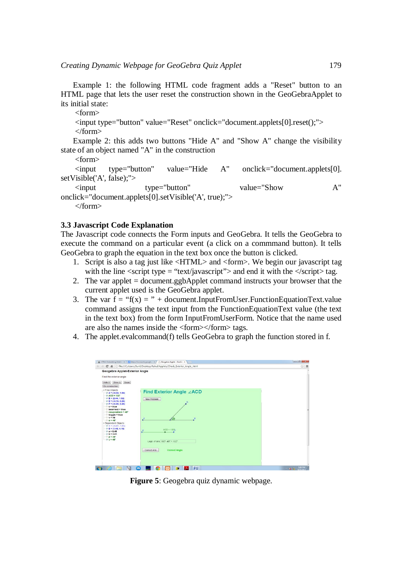Example 1: the following HTML code fragment adds a "Reset" button to an HTML page that lets the user reset the construction shown in the GeoGebraApplet to its initial state:

<form>

<input type="button" value="Reset" onclick="document.applets[0].reset();"> </form>

Example 2: this adds two buttons "Hide A" and "Show A" change the visibility state of an object named "A" in the construction

<form>

<input type="button" value="Hide A" onclick="document.applets[0]. setVisible('A', false);">

<input type="button" value="Show A" onclick="document.applets[0].setVisible('A', true);">

</form>

#### **3.3 Javascript Code Explanation**

The Javascript code connects the Form inputs and GeoGebra. It tells the GeoGebra to execute the command on a particular event (a click on a commmand button). It tells GeoGebra to graph the equation in the text box once the button is clicked.

- 1. Script is also a tag just like <HTML> and <form>. We begin our javascript tag with the line  $\langle \text{script } t \rangle$  type = "text/javascript"> and end it with the  $\langle \text{script } t \rangle$  tag.
- 2. The var applet = document.ggbApplet command instructs your browser that the current applet used is the GeoGebra applet.
- 3. The var  $f = f(x) = r + document. InputFromUser.FunctionEquationText.value$ command assigns the text input from the FunctionEquationText value (the text in the text box) from the form InputFromUserForm. Notice that the name used are also the names inside the <form></form> tags.
- 4. The applet.evalcommand(f) tells GeoGebra to graph the function stored in f.



**Figure 5**: Geogebra quiz dynamic webpage.